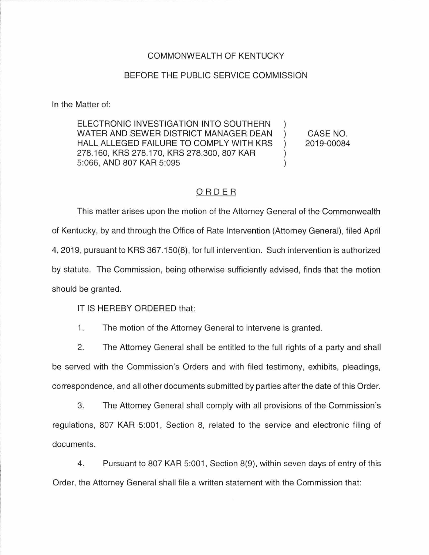## COMMONWEALTH OF KENTUCKY

## BEFORE THE PUBLIC SERVICE COMMISSION

In the Matter of:

ELECTRONIC INVESTIGATION INTO SOUTHERN WATER AND SEWER DISTRICT MANAGER DEAN HALL ALLEGED FAILURE TO COMPLY WITH KRS 278.160, KRS 278.170, KRS 278.300, 807 KAR 5:066, AND 807 KAR 5:095

CASE NO. 2019-00084

 $\mathcal{L}$ 

 $\lambda$ 

## ORDER

This matter arises upon the motion of the Attorney General of the Commonwealth of Kentucky, by and through the Office of Rate Intervention (Attorney General), filed April 4, 2019, pursuant to KRS 367.150(8), for full intervention. Such intervention is authorized by statute. The Commission, being otherwise sufficiently advised, finds that the motion should be granted.

IT IS HEREBY ORDERED that:

1. The motion of the Attorney General to intervene is granted.

2. The Attorney General shall be entitled to the full rights of a party and shall be served with the Commission's Orders and with filed testimony, exhibits, pleadings, correspondence, and all other documents submitted by parties after the date of this Order.

3. The Attorney General shall comply with all provisions of the Commission's regulations, 807 KAR 5:001, Section 8, related to the service and electronic filing of documents.

4. Pursuant to 807 KAR 5:001, Section 8(9), within seven days of entry of this Order, the Attorney General shall file a written statement with the Commission that: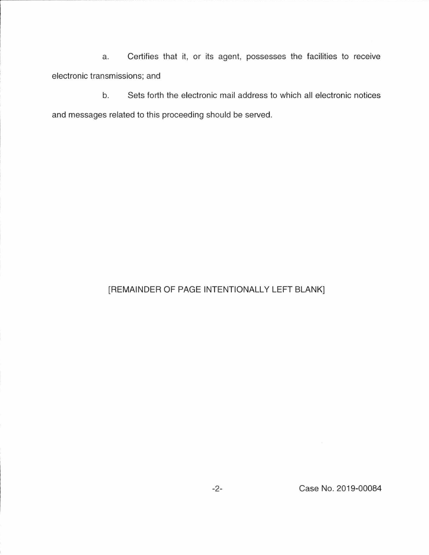a. Certifies that it, or its agent, possesses the facilities to receive electronic transmissions; and

b. Sets forth the electronic mail address to which all electronic notices and messages related to this proceeding should be served.

## [REMAINDER OF PAGE INTENTIONALLY LEFT BLANK]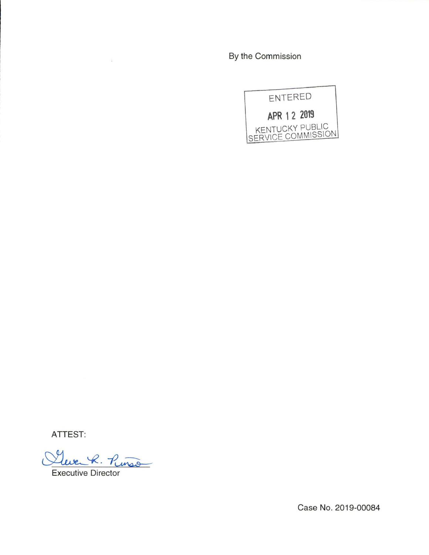By the Commission



ATTEST:

 $\omega$ Lleve R. Pinso

芸

Executive Director

Case No. 2019-00084